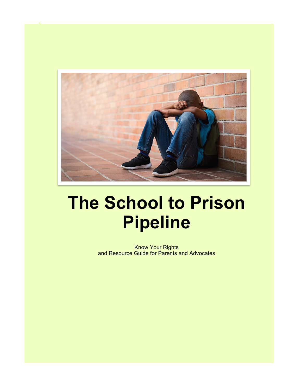

# **The School to Prison Pipeline**

Know Your Rights and Resource Guide for Parents and Advocates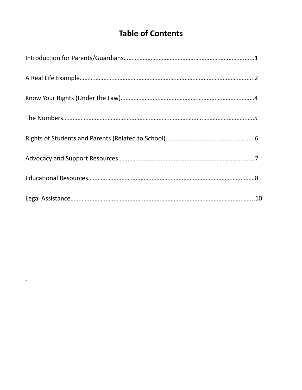# **Table of Contents**

.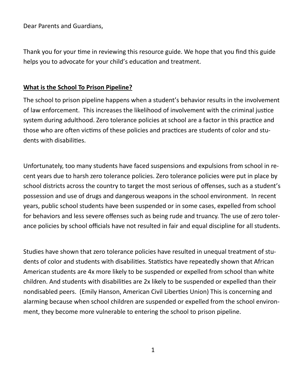Dear Parents and Guardians,

Thank you for your time in reviewing this resource guide. We hope that you find this guide helps you to advocate for your child's education and treatment.

#### **What is the School To Prison Pipeline?**

The school to prison pipeline happens when a student's behavior results in the involvement of law enforcement. This increases the likelihood of involvement with the criminal justice system during adulthood. Zero tolerance policies at school are a factor in this practice and those who are often victims of these policies and practices are students of color and students with disabilities.

Unfortunately, too many students have faced suspensions and expulsions from school in recent years due to harsh zero tolerance policies. Zero tolerance policies were put in place by school districts across the country to target the most serious of offenses, such as a student's possession and use of drugs and dangerous weapons in the school environment. In recent years, public school students have been suspended or in some cases, expelled from school for behaviors and less severe offenses such as being rude and truancy. The use of zero tolerance policies by school officials have not resulted in fair and equal discipline for all students.

Studies have shown that zero tolerance policies have resulted in unequal treatment of students of color and students with disabilities. Statistics have repeatedly shown that African American students are 4x more likely to be suspended or expelled from school than white children. And students with disabilities are 2x likely to be suspended or expelled than their nondisabled peers. (Emily Hanson, American Civil Liberties Union) This is concerning and alarming because when school children are suspended or expelled from the school environment, they become more vulnerable to entering the school to prison pipeline.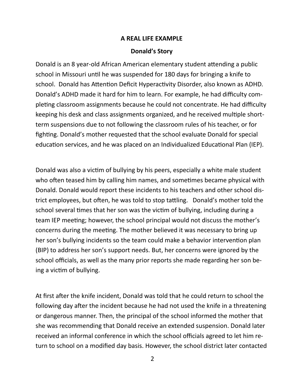#### **A REAL LIFE EXAMPLE**

#### **Donald's Story**

Donald is an 8 year-old African American elementary student attending a public school in Missouri until he was suspended for 180 days for bringing a knife to school. Donald has Attention Deficit Hyperactivity Disorder, also known as ADHD. Donald's ADHD made it hard for him to learn. For example, he had difficulty completing classroom assignments because he could not concentrate. He had difficulty keeping his desk and class assignments organized, and he received multiple shortterm suspensions due to not following the classroom rules of his teacher, or for fighting. Donald's mother requested that the school evaluate Donald for special education services, and he was placed on an Individualized Educational Plan (IEP).

Donald was also a victim of bullying by his peers, especially a white male student who often teased him by calling him names, and sometimes became physical with Donald. Donald would report these incidents to his teachers and other school district employees, but often, he was told to stop tattling. Donald's mother told the school several times that her son was the victim of bullying, including during a team IEP meeting; however, the school principal would not discuss the mother's concerns during the meeting. The mother believed it was necessary to bring up her son's bullying incidents so the team could make a behavior intervention plan (BIP) to address her son's support needs. But, her concerns were ignored by the school officials, as well as the many prior reports she made regarding her son being a victim of bullying.

At first after the knife incident, Donald was told that he could return to school the following day after the incident because he had not used the knife in a threatening or dangerous manner. Then, the principal of the school informed the mother that she was recommending that Donald receive an extended suspension. Donald later received an informal conference in which the school officials agreed to let him return to school on a modified day basis. However, the school district later contacted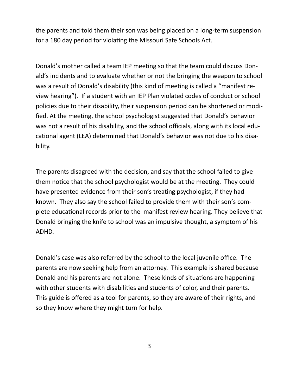the parents and told them their son was being placed on a long-term suspension for a 180 day period for violating the Missouri Safe Schools Act.

Donald's mother called a team IEP meeting so that the team could discuss Donald's incidents and to evaluate whether or not the bringing the weapon to school was a result of Donald's disability (this kind of meeting is called a "manifest review hearing"). If a student with an IEP Plan violated codes of conduct or school policies due to their disability, their suspension period can be shortened or modified. At the meeting, the school psychologist suggested that Donald's behavior was not a result of his disability, and the school officials, along with its local educational agent (LEA) determined that Donald's behavior was not due to his disability.

The parents disagreed with the decision, and say that the school failed to give them notice that the school psychologist would be at the meeting. They could have presented evidence from their son's treating psychologist, if they had known. They also say the school failed to provide them with their son's complete educational records prior to the manifest review hearing. They believe that Donald bringing the knife to school was an impulsive thought, a symptom of his ADHD.

Donald's case was also referred by the school to the local juvenile office. The parents are now seeking help from an attorney. This example is shared because Donald and his parents are not alone. These kinds of situations are happening with other students with disabilities and students of color, and their parents. This guide is offered as a tool for parents, so they are aware of their rights, and so they know where they might turn for help.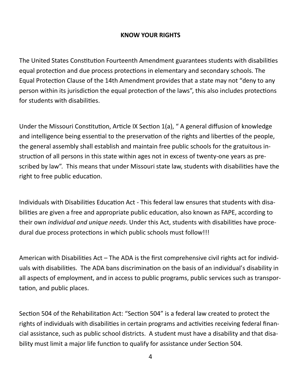#### **KNOW YOUR RIGHTS**

The United States Constitution Fourteenth Amendment guarantees students with disabilities equal protection and due process protections in elementary and secondary schools. The Equal Protection Clause of the 14th Amendment provides that a state may not "deny to any person within its jurisdiction the equal protection of the laws", this also includes protections for students with disabilities.

Under the Missouri Constitution, Article IX Section 1(a), " A general diffusion of knowledge and intelligence being essential to the preservation of the rights and liberties of the people, the general assembly shall establish and maintain free public schools for the gratuitous instruction of all persons in this state within ages not in excess of twenty-one years as prescribed by law". This means that under Missouri state law, students with disabilities have the right to free public education.

Individuals with Disabilities Education Act - This federal law ensures that students with disabilities are given a free and appropriate public education, also known as FAPE, according to their own *individual and unique needs*. Under this Act, students with disabilities have procedural due process protections in which public schools must follow!!!

American with Disabilities Act – The ADA is the first comprehensive civil rights act for individuals with disabilities. The ADA bans discrimination on the basis of an individual's disability in all aspects of employment, and in access to public programs, public services such as transportation, and public places.

Section 504 of the Rehabilitation Act: "Section 504" is a federal law created to protect the rights of individuals with disabilities in certain programs and activities receiving federal financial assistance, such as public school districts. A student must have a disability and that disability must limit a major life function to qualify for assistance under Section 504.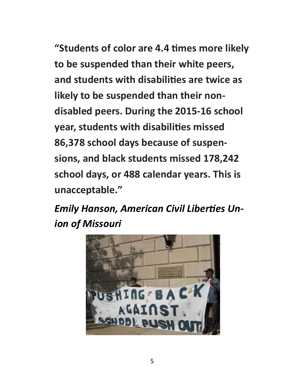**"Students of color are 4.4 times more likely to be suspended than their white peers, and students with disabilities are twice as likely to be suspended than their nondisabled peers. During the 2015-16 school year, students with disabilities missed 86,378 school days because of suspensions, and black students missed 178,242 school days, or 488 calendar years. This is unacceptable."**

*Emily Hanson, American Civil Liberties Union of Missouri*

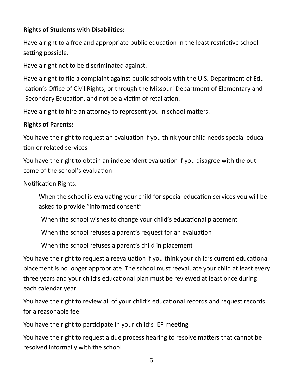# **Rights of Students with Disabilities:**

Have a right to a free and appropriate public education in the least restrictive school setting possible.

Have a right not to be discriminated against.

Have a right to file a complaint against public schools with the U.S. Department of Education's Office of Civil Rights, or through the Missouri Department of Elementary and Secondary Education, and not be a victim of retaliation.

Have a right to hire an attorney to represent you in school matters.

# **Rights of Parents:**

You have the right to request an evaluation if you think your child needs special education or related services

You have the right to obtain an independent evaluation if you disagree with the outcome of the school's evaluation

Notification Rights:

When the school is evaluating your child for special education services you will be asked to provide "informed consent"

When the school wishes to change your child's educational placement

When the school refuses a parent's request for an evaluation

When the school refuses a parent's child in placement

You have the right to request a reevaluation if you think your child's current educational placement is no longer appropriate The school must reevaluate your child at least every three years and your child's educational plan must be reviewed at least once during each calendar year

You have the right to review all of your child's educational records and request records for a reasonable fee

You have the right to participate in your child's IEP meeting

You have the right to request a due process hearing to resolve matters that cannot be resolved informally with the school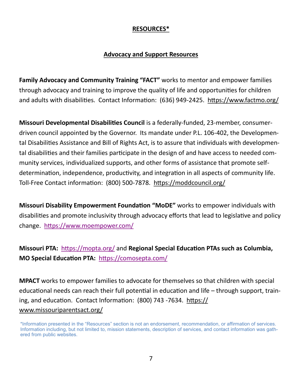#### **RESOURCES\***

#### **Advocacy and Support Resources**

**Family Advocacy and Community Training "FACT"** works to mentor and empower families through advocacy and training to improve the quality of life and opportunities for children and adults with disabilities. Contact Information: (636) 949-2425. <https://www.factmo.org/>

**Missouri Developmental Disabilities Council** is a federally-funded, 23-member, consumerdriven council appointed by the Governor. Its mandate under P.L. 106-402, the Developmental Disabilities Assistance and Bill of Rights Act, is to assure that individuals with developmental disabilities and their families participate in the design of and have access to needed community services, individualized supports, and other forms of assistance that promote selfdetermination, independence, productivity, and integration in all aspects of community life. Toll-Free Contact information: (800) 500-7878. <https://moddcouncil.org/>

**Missouri Disability Empowerment Foundation "MoDE"** works to empower individuals with disabilities and promote inclusivity through advocacy efforts that lead to legislative and policy change. <https://www.moempower.com/>

**Missouri PTA:** <https://mopta.org/> and **Regional Special Education PTAs such as Columbia, MO Special Education PTA:** <https://comosepta.com/>

**MPACT** works to empower families to advocate for themselves so that children with special educational needs can reach their full potential in education and life – through support, training, and education. Contact Information: (800) 743 -7634. [https://](https://www.missouriparentsact.org/) [www.missouriparentsact.org/](https://www.missouriparentsact.org/)

<sup>\*</sup>Information presented in the "Resources" section is not an endorsement, recommendation, or affirmation of services. Information including, but not limited to, mission statements, description of services, and contact information was gathered from public websites.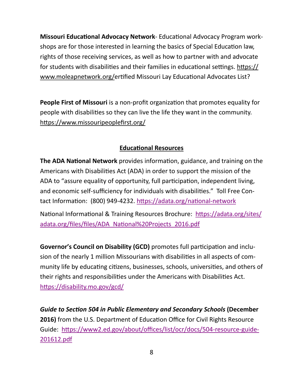**Missouri Educational Advocacy Network**- Educational Advocacy Program workshops are for those interested in learning the basics of Special Education law, rights of those receiving services, as well as how to partner with and advocate for students with disabilities and their families in educational settings. [https://](https://www.moleapnetwork.org/) [www.moleapnetwork.org/e](https://www.moleapnetwork.org/)rtified Missouri Lay Educational Advocates List?

**People First of Missouri** is a non-profit organization that promotes equality for people with disabilities so they can live the life they want in the community. <https://www.missouripeoplefirst.org/>

## **Educational Resources**

**The ADA National Network** provides information, guidance, and training on the Americans with Disabilities Act (ADA) in order to support the mission of the ADA to "assure equality of opportunity, full participation, independent living, and economic self-sufficiency for individuals with disabilities." Toll Free Contact Information: (800) 949-4232. [https://adata.org/national](https://adata.org/national-network)-network

National Informational & Training Resources Brochure: [https://adata.org/sites/](https://adata.org/sites/adata.org/files/files/ADA_National%20Projects_2016.pdf) [adata.org/files/files/ADA\\_National%20Projects\\_2016.pdf](https://adata.org/sites/adata.org/files/files/ADA_National%20Projects_2016.pdf)

**Governor's Council on Disability (GCD)** promotes full participation and inclusion of the nearly 1 million Missourians with disabilities in all aspects of community life by educating citizens, businesses, schools, universities, and others of their rights and responsibilities under the Americans with Disabilities Act. <https://disability.mo.gov/gcd/>

*Guide to Section 504 in Public Elementary and Secondary Schools* **(December 2016)** from the U.S. Department of Education Office for Civil Rights Resource Guide: [https://www2.ed.gov/about/offices/list/ocr/docs/504](https://www2.ed.gov/about/offices/list/ocr/docs/504-resource-guide-201612.pdf)-resource-guide-[201612.pdf](https://www2.ed.gov/about/offices/list/ocr/docs/504-resource-guide-201612.pdf)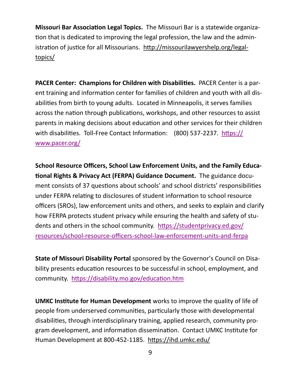**Missouri Bar Association Legal Topics.** The Missouri Bar is a statewide organization that is dedicated to improving the legal profession, the law and the administration of justice for all Missourians.[http://missourilawyershelp.org/legal](http://missourilawyershelp.org/legal-topics/)[topics/](http://missourilawyershelp.org/legal-topics/)

**PACER Center: Champions for Children with Disabilities.** PACER Center is a parent training and information center for families of children and youth with all disabilities from birth to young adults. Located in Minneapolis, it serves families across the nation through publications, workshops, and other resources to assist parents in making decisions about education and other services for their children with disabilities. Toll-Free Contact Information: (800) 537-2237. [https://](https://www.pacer.org/) [www.pacer.org/](https://www.pacer.org/)

**School Resource Officers, School Law Enforcement Units, and the Family Educational Rights & Privacy Act (FERPA) Guidance Document.** The guidance document consists of 37 questions about schools' and school districts' responsibilities under FERPA relating to disclosures of student information to school resource officers (SROs), law enforcement units and others, and seeks to explain and clarify how FERPA protects student privacy while ensuring the health and safety of students and others in the school community. [https://studentprivacy.ed.gov/](https://studentprivacy.ed.gov/resources/school-resource-officers-school-law-enforcement-units-and-ferpa) [resources/school](https://studentprivacy.ed.gov/resources/school-resource-officers-school-law-enforcement-units-and-ferpa)-resource-officers-school-law-enforcement-units-and-ferpa

**State of Missouri Disability Portal** sponsored by the Governor's Council on Disability presents education resources to be successful in school, employment, and community. <https://disability.mo.gov/education.htm>

**UMKC Institute for Human Development** works to improve the quality of life of people from underserved communities, particularly those with developmental disabilities, through interdisciplinary training, applied research, community program development, and information dissemination. Contact UMKC Institute for Human Development at 800-452-1185. <https://ihd.umkc.edu/>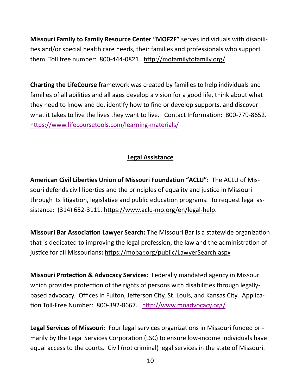**Missouri Family to Family Resource Center "MOF2F"** serves individuals with disabilities and/or special health care needs, their families and professionals who support them. Toll free number: 800-444-0821. <http://mofamilytofamily.org/>

**Charting the LifeCourse** framework was created by families to help individuals and families of all abilities and all ages develop a vision for a good life, think about what they need to know and do, identify how to find or develop supports, and discover what it takes to live the lives they want to live. Contact Information: 800-779-8652. [https://www.lifecoursetools.com/learning](https://www.lifecoursetools.com/learning-materials/)-materials/

## **Legal Assistance**

**American Civil Liberties Union of Missouri Foundation "ACLU":** The ACLU of Missouri defends civil liberties and the principles of equality and justice in Missouri through its litigation, legislative and public education programs. To request legal assistance: (314) 652-3111. [https://www.aclu](https://www.aclu-mo.org/en/legal-help)-mo.org/en/legal-help.

**Missouri Bar Association Lawyer Search:** The Missouri Bar is a statewide organization that is dedicated to improving the legal profession, the law and the administration of justice for all Missourians**:** <https://mobar.org/public/LawyerSearch.aspx>

**Missouri Protection & Advocacy Services:** Federally mandated agency in Missouri which provides protection of the rights of persons with disabilities through legallybased advocacy. Offices in Fulton, Jefferson City, St. Louis, and Kansas City. Application Toll-Free Number: 800-392-8667. <http://www.moadvocacy.org/>

**Legal Services of Missouri**: Four legal services organizations in Missouri funded primarily by the Legal Services Corporation (LSC) to ensure low-income individuals have equal access to the courts. Civil (not criminal) legal services in the state of Missouri.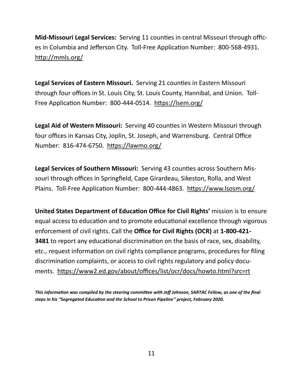**Mid-Missouri Legal Services:** Serving 11 counties in central Missouri through offices in Columbia and Jefferson City. Toll-Free Application Number: 800-568-4931. <http://mmls.org/>

**Legal Services of Eastern Missouri.** Serving 21 counties in Eastern Missouri through four offices in St. Louis City, St. Louis County, Hannibal, and Union. Toll-Free Application Number: 800-444-0514. <https://lsem.org/>

**Legal Aid of Western Missouri:** Serving 40 counties in Western Missouri through four offices in Kansas City, Joplin, St. Joseph, and Warrensburg. Central Office Number: 816-474-6750. <https://lawmo.org/>

**Legal Services of Southern Missouri:** Serving 43 counties across Southern Missouri through offices in Springfield, Cape Girardeau, Sikeston, Rolla, and West Plains. Toll-Free Application Number: 800-444-4863. <https://www.lsosm.org/>

**United States Department of Education Office for Civil Rights'** mission is to ensure equal access to education and to promote educational excellence through vigorous enforcement of civil rights. Call the **Office for Civil Rights (OCR)** at **1-800-421- 3481** to report any educational discrimination on the basis of race, sex, disability, etc., request information on civil rights compliance programs, procedures for filing discrimination complaints, or access to civil rights regulatory and policy documents. <https://www2.ed.gov/about/offices/list/ocr/docs/howto.html?src=rt>

*This information was compiled by the steering committee with Jeff Johnson, SARTAC Fellow, as one of the final steps in his "Segregated Education and the School to Prison Pipeline" project, February 2020.*